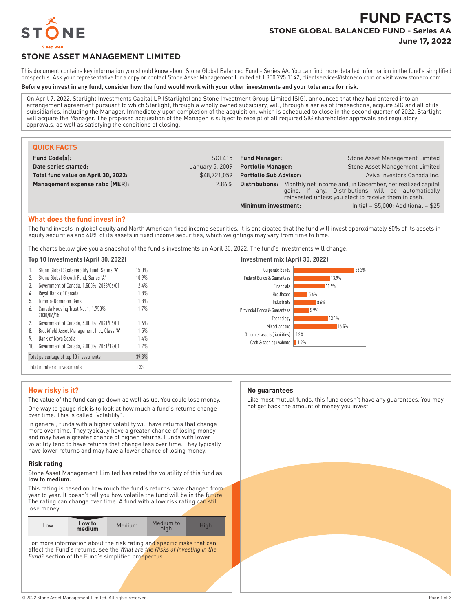

# **FUND FACTS STONE GLOBAL BALANCED FUND - Series AA June 17, 2022**

# **STONE ASSET MANAGEMENT LIMITED**

This document contains key information you should know about Stone Global Balanced Fund - Series AA. You can find more detailed information in the fund's simplified prospectus. Ask your representative for a copy or contact Stone Asset Management Limited at 1 800 795 1142, clientservices@stoneco.com or visit www.stoneco.com.

#### **Before you invest in any fund, consider how the fund would work with your other investments and your tolerance for risk.**

On April 7, 2022, Starlight Investments Capital LP (Starlight) and Stone Investment Group Limited (SIG), announced that they had entered into an arrangement agreement pursuant to which Starlight, through a wholly owned subsidiary, will, through a series of transactions, acquire SIG and all of its subsidiaries, including the Manager. Immediately upon completion of the acquisition, which is scheduled to close in the second quarter of 2022, Starlight will acquire the Manager. The proposed acquisition of the Manager is subject to receipt of all required SIG shareholder approvals and regulatory approvals, as well as satisfying the conditions of closing.

| <b>QUICK FACTS</b>                  |                 |                               |                                                                                                                                                                                               |
|-------------------------------------|-----------------|-------------------------------|-----------------------------------------------------------------------------------------------------------------------------------------------------------------------------------------------|
| <b>Fund Code(s):</b>                | SCL415          | <b>Fund Manager:</b>          | Stone Asset Management Limited                                                                                                                                                                |
| Date series started:                | January 5, 2009 | <b>Portfolio Manager:</b>     | Stone Asset Management Limited                                                                                                                                                                |
| Total fund value on April 30, 2022: | \$48.721.059    | <b>Portfolio Sub Advisor:</b> | Aviva Investors Canada Inc.                                                                                                                                                                   |
| Management expense ratio (MER):     | 2.86%           |                               | <b>Distributions:</b> Monthly net income and, in December, net realized capital<br>gains, if any. Distributions will be automatically<br>reinvested unless you elect to receive them in cash. |
|                                     |                 | Minimum investment:           | Initial $-$ \$5,000; Additional $-$ \$25                                                                                                                                                      |

#### **What does the fund invest in?**

The fund invests in global equity and North American fixed income securities. It is anticipated that the fund will invest approximately 60% of its assets in equity securities and 40% of its assets in fixed income securities, which weightings may vary from time to time.

The charts below give you a snapshot of the fund's investments on April 30, 2022. The fund's investments will change.

#### **Top 10 Investments (April 30, 2022) Investment mix (April 30, 2022)**

| 15.0%<br>Corporate Bonds<br>Stone Global Sustainability Fund, Series 'A'<br>1.<br>Stone Global Growth Fund, Series 'A'<br>10.9%<br>Federal Bonds & Guarantees<br>Government of Canada, 1.500%, 2023/06/01<br>7.4%<br>3.<br>Financials<br>Royal Bank of Canada<br>1.8%<br>4.<br>Healthcare<br>5.<br>Toronto-Dominion Bank<br>1.8%<br>Industrials<br>1.7%<br>Canada Housing Trust No. 1, 1.750%,<br>6.<br>Provincial Bonds & Guarantees<br>2030/06/15<br>Technology<br>7.<br>Government of Canada, 4.000%, 2041/06/01<br>1.6%<br>Miscellaneous<br>8.<br>Brookfield Asset Management Inc., Class 'A'<br>1.5%<br>Other net assets (liabilities)<br>9.<br>1.4%<br>Bank of Nova Scotia<br>Cash & cash equivalents<br>Government of Canada, 2.000%, 2051/12/01<br>1.7%<br>10.<br>39.3%<br>Total percentage of top 10 investments<br>133<br>Total number of investments |  |  |                     |
|-----------------------------------------------------------------------------------------------------------------------------------------------------------------------------------------------------------------------------------------------------------------------------------------------------------------------------------------------------------------------------------------------------------------------------------------------------------------------------------------------------------------------------------------------------------------------------------------------------------------------------------------------------------------------------------------------------------------------------------------------------------------------------------------------------------------------------------------------------------------|--|--|---------------------|
|                                                                                                                                                                                                                                                                                                                                                                                                                                                                                                                                                                                                                                                                                                                                                                                                                                                                 |  |  |                     |
|                                                                                                                                                                                                                                                                                                                                                                                                                                                                                                                                                                                                                                                                                                                                                                                                                                                                 |  |  |                     |
|                                                                                                                                                                                                                                                                                                                                                                                                                                                                                                                                                                                                                                                                                                                                                                                                                                                                 |  |  |                     |
|                                                                                                                                                                                                                                                                                                                                                                                                                                                                                                                                                                                                                                                                                                                                                                                                                                                                 |  |  |                     |
|                                                                                                                                                                                                                                                                                                                                                                                                                                                                                                                                                                                                                                                                                                                                                                                                                                                                 |  |  |                     |
|                                                                                                                                                                                                                                                                                                                                                                                                                                                                                                                                                                                                                                                                                                                                                                                                                                                                 |  |  |                     |
|                                                                                                                                                                                                                                                                                                                                                                                                                                                                                                                                                                                                                                                                                                                                                                                                                                                                 |  |  | $\vert 0.3\% \vert$ |
|                                                                                                                                                                                                                                                                                                                                                                                                                                                                                                                                                                                                                                                                                                                                                                                                                                                                 |  |  | 1.2%                |
|                                                                                                                                                                                                                                                                                                                                                                                                                                                                                                                                                                                                                                                                                                                                                                                                                                                                 |  |  |                     |
|                                                                                                                                                                                                                                                                                                                                                                                                                                                                                                                                                                                                                                                                                                                                                                                                                                                                 |  |  |                     |



### **How risky is it?**

The value of the fund can go down as well as up. You could lose money. One way to gauge risk is to look at how much a fund's returns change over time. This is called "volatility".

In general, funds with a higher volatility will have returns that change more over time. They typically have a greater chance of losing money and may have a greater chance of higher returns. Funds with lower volatility tend to have returns that change less over time. They typically have lower returns and may have a lower chance of losing money.

#### **Risk rating**

Stone Asset Management Limited has rated the volatility of this fund as **low to medium.**

This rating is based on how much the fund's returns have changed from year to year. It doesn't tell you how volatile the fund will be in the future. The rating can change over time. A fund with a low risk rating can still lose money.

| Low to<br>LOW<br>medium | <b>Medium</b> | Medium to<br>hiah | Hiah |
|-------------------------|---------------|-------------------|------|
|-------------------------|---------------|-------------------|------|

For more information about the risk rating and specific risks that can affect the Fund's returns, see the *What are the Risks of Investing in the* Fund? section of the Fund's simplified prospectus.

#### **No guarantees**

Like most mutual funds, this fund doesn't have any guarantees. You may not get back the amount of money you invest.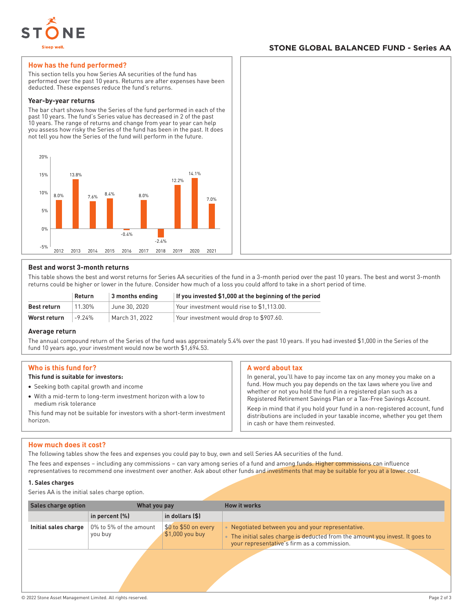

# **STONE GLOBAL BALANCED FUND - Series AA**

#### **How has the fund performed?**

This section tells you how Series AA securities of the fund has performed over the past 10 years. Returns are after expenses have been deducted. These expenses reduce the fund's returns.

#### **Year-by-year returns**

The bar chart shows how the Series of the fund performed in each of the past 10 years. The fund's Series value has decreased in 2 of the past 10 years. The range of returns and change from year to year can help you assess how risky the Series of the fund has been in the past. It does not tell you how the Series of the fund will perform in the future.



#### **Best and worst 3-month returns**

This table shows the best and worst returns for Series AA securities of the fund in a 3-month period over the past 10 years. The best and worst 3-month returns could be higher or lower in the future. Consider how much of a loss you could afford to take in a short period of time.

|              | <b>Return</b> | $\vert$ 3 months ending | If you invested \$1,000 at the beginning of the period |
|--------------|---------------|-------------------------|--------------------------------------------------------|
| Best return  | 11.30%        | June 30, 2020           | Your investment would rise to \$1.113.00.              |
| Worst return | $-9.24\%$     | March 31, 2022          | Your investment would drop to \$907.60.                |

#### **Average return**

The annual compound return of the Series of the fund was approximately 5.4% over the past 10 years. If you had invested \$1,000 in the Series of the fund 10 years ago, your investment would now be worth \$1,694.53.

#### **Who is this fund for?**

#### **This fund is suitable for investors:**

- Seeking both capital growth and income
- With a mid-term to long-term investment horizon with a low to medium risk tolerance

This fund may not be suitable for investors with a short-term investment horizon.

#### **A word about tax**

In general, you'll have to pay income tax on any money you make on a fund. How much you pay depends on the tax laws where you live and whether or not you hold the fund in a registered plan such as a Registered Retirement Savings Plan or a Tax-Free Savings Account.

Keep in mind that if you hold your fund in a non-registered account, fund distributions are included in your taxable income, whether you get them in cash or have them reinvested.

#### **How much does it cost?**

The following tables show the fees and expenses you could pay to buy, own and sell Series AA securities of the fund.

The fees and expenses – including any commissions – can vary among series of a fund and among funds. Higher commissions can influence representatives to recommend one investment over another. Ask about other funds and investments that may be suitable for you at a lower cost.

#### **1. Sales charges**

Series AA is the initial sales charge option.

| <b>Sales charge option</b> | What you pay                      |                                          | <b>How it works</b>                                                                                                                                                               |
|----------------------------|-----------------------------------|------------------------------------------|-----------------------------------------------------------------------------------------------------------------------------------------------------------------------------------|
|                            | in percent $(\%)$                 | in dollars $($ \$)                       |                                                                                                                                                                                   |
| Initial sales charge       | 0% to 5% of the amount<br>you buy | \$0 to \$50 on every<br>$$1,000$ you buy | • Negotiated between you and your representative.<br>. The initial sales charge is deducted from the amount you invest. It goes to<br>your representative's firm as a commission. |
|                            |                                   |                                          |                                                                                                                                                                                   |